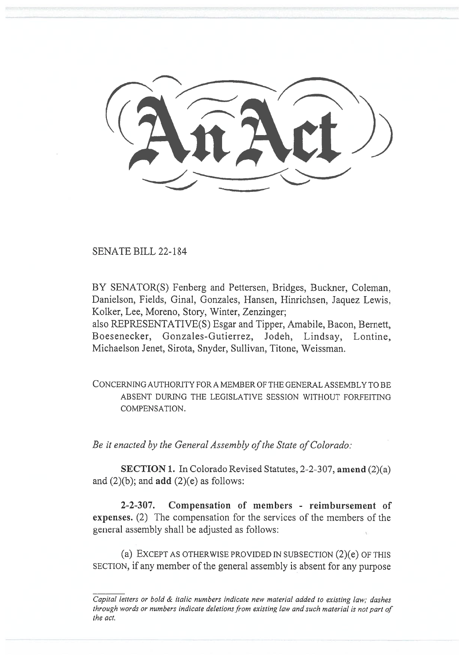SENATE BILL 22-184

BY SENATOR(S) Fenberg and Pettersen, Bridges, Buckner, Coleman, Danielson, Fields, Ginal, Gonzales, Hansen, Hinrichsen, Jaquez Lewis, Kolker, Lee, Moreno, Story, Winter, Zenzinger;

also REPRESENTATIVE(S) Esgar and Tipper, Amabile, Bacon, Bernett, Boesenecker, Gonzales-Gutierrez, Jodeh, Lindsay, Lontine, Michaelson Jenet, Sirota, Snyder, Sullivan, Titone, Weissman.

CONCERNING AUTHORITY FOR A MEMBER OF THE GENERAL ASSEMBLY TO BE ABSENT DURING THE LEGISLATIVE SESSION WITHOUT FORFEITING COMPENSATION.

Be it enacted by the General Assembly of the State of Colorado:

SECTION 1. In Colorado Revised Statutes, 2-2-307, amend (2)(a) and  $(2)(b)$ ; and  $add (2)(e)$  as follows:

2-2-307. Compensation of members - reimbursement of expenses. (2) The compensation for the services of the members of the general assembly shall be adjusted as follows:

(a) EXCEPT AS OTHERWISE PROVIDED IN SUBSECTION (2)(e) OF THIS SECTION, if any member of the general assembly is absent for any purpose

Capital letters or bold & italic numbers indicate new material added to existing law; dashes through words or numbers indicate deletions from existing law and such material is not part of the act.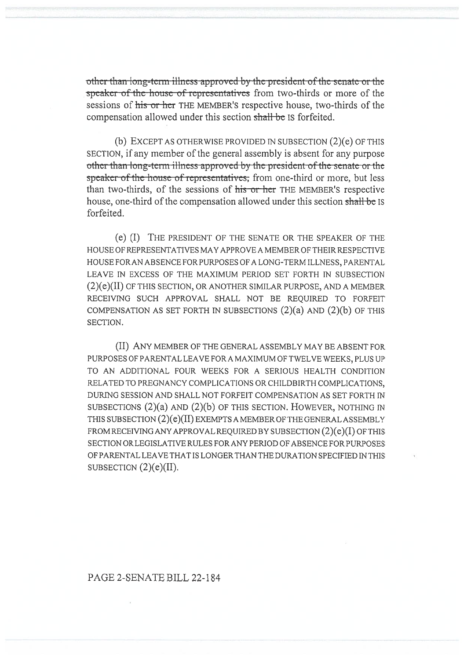other than long-term-illness approved by the president of the senate or the speaker of the house of representatives from two-thirds or more of the sessions of his or her THE MEMBER's respective house, two-thirds of the compensation allowed under this section shall be IS forfeited.

(b) EXCEPT AS OTHERWISE PROVIDED IN SUBSECTION (2)(e) OF THIS SECTION, if any member of the general assembly is absent for any purpose other than long-term illness approved by the president of the senate or the speaker of the house of representatives, from one-third or more, but less than two-thirds, of the sessions of his or her THE MEMBER's respective house, one-third of the compensation allowed under this section shall be IS forfeited.

(e) (I) THE PRESIDENT OF THE SENATE OR THE SPEAKER OF THE HOUSE OF REPRESENTATIVES MAY APPROVE A MEMBER OF THEIR RESPECTIVE HOUSE FOR AN ABSENCE FOR PURPOSES OF A LONG-TERM ILLNESS, PARENTAL LEAVE IN EXCESS OF THE MAXIMUM PERIOD SET FORTH IN SUBSECTION (2)(e)(II) OF THIS SECTION, OR ANOTHER SIMILAR PURPOSE, AND A MEMBER RECEIVING SUCH APPROVAL SHALL NOT BE REQUIRED TO FORFEIT COMPENSATION AS SET FORTH IN SUBSECTIONS  $(2)(a)$  and  $(2)(b)$  of this SECTION.

(II) ANY MEMBER OF THE GENERAL ASSEMBLY MAY BE ABSENT FOR PURPOSES OF PARENTAL LEAVE FOR A MAXIMUM OF TWELVE WEEKS, PLUS UP TO AN ADDITIONAL FOUR WEEKS FOR A SERIOUS HEALTH CONDITION RELATED TO PREGNANCY COMPLICATIONS OR CHILDBIRTH COMPLICATIONS, DURING SESSION AND SHALL NOT FORFEIT COMPENSATION AS SET FORTH IN SUBSECTIONS (2)(a) AND (2)(b) OF THIS SECTION. HOWEVER, NOTHING IN THIS SUBSECTION (2)(e)(II) EXEMPTS A MEMBER OF THE GENERAL ASSEMBLY FROM RECEIVING ANY APPROVAL REQUIRED BY SUBSECTION (2)(e)(I) OF THIS SECTION OR LEGISLATIVE RULES FOR ANY PERIOD OF ABSENCE FOR PURPOSES OF PARENTAL LEAVE THAT IS LONGER THAN THE DURATION SPECIFIED IN THIS SUBSECTION  $(2)(e)(II)$ .

## PAGE 2-SENATE BILL 22-184